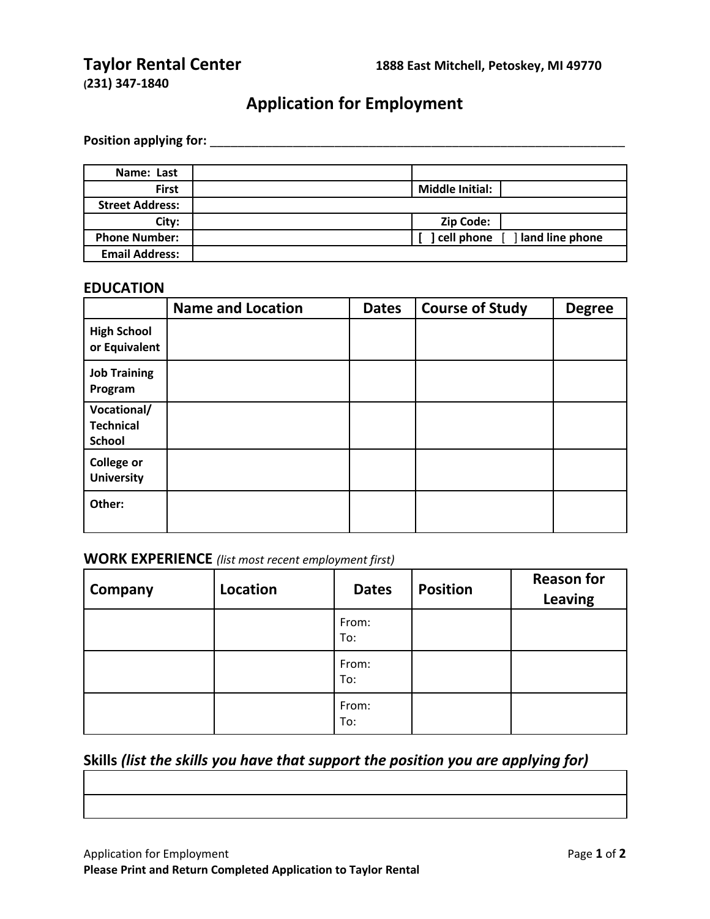**(231) 347-1840**

# **Application for Employment**

**Position applying for:** \_\_\_\_\_\_\_\_\_\_\_\_\_\_\_\_\_\_\_\_\_\_\_\_\_\_\_\_\_\_\_\_\_\_\_\_\_\_\_\_\_\_\_\_\_\_\_\_\_\_\_\_\_\_\_\_\_\_\_\_

| Name: Last             |                        |                                |
|------------------------|------------------------|--------------------------------|
| <b>First</b>           | <b>Middle Initial:</b> |                                |
| <b>Street Address:</b> |                        |                                |
| City:                  | Zip Code:              |                                |
| <b>Phone Number:</b>   |                        | cell phone [ ] land line phone |
| <b>Email Address:</b>  |                        |                                |

#### **EDUCATION**

|                                                  | <b>Name and Location</b> | <b>Dates</b> | <b>Course of Study</b> | <b>Degree</b> |
|--------------------------------------------------|--------------------------|--------------|------------------------|---------------|
| <b>High School</b><br>or Equivalent              |                          |              |                        |               |
| <b>Job Training</b><br>Program                   |                          |              |                        |               |
| Vocational/<br><b>Technical</b><br><b>School</b> |                          |              |                        |               |
| <b>College or</b><br><b>University</b>           |                          |              |                        |               |
| Other:                                           |                          |              |                        |               |

### **WORK EXPERIENCE** *(list most recent employment first)*

| Company | Location | <b>Dates</b> | <b>Position</b> | <b>Reason for</b><br><b>Leaving</b> |
|---------|----------|--------------|-----------------|-------------------------------------|
|         |          | From:<br>To: |                 |                                     |
|         |          | From:<br>To: |                 |                                     |
|         |          | From:<br>To: |                 |                                     |

## **Skills** *(list the skills you have that support the position you are applying for)*